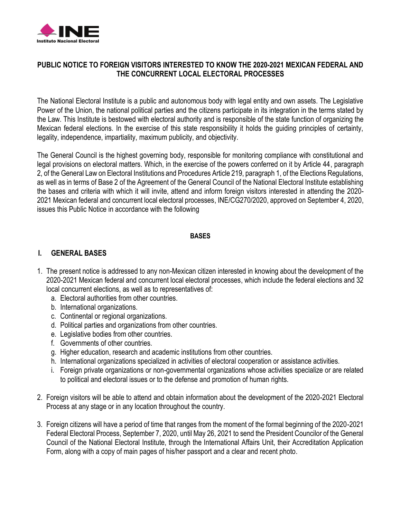

### **PUBLIC NOTICE TO FOREIGN VISITORS INTERESTED TO KNOW THE 2020-2021 MEXICAN FEDERAL AND THE CONCURRENT LOCAL ELECTORAL PROCESSES**

The National Electoral Institute is a public and autonomous body with legal entity and own assets. The Legislative Power of the Union, the national political parties and the citizens participate in its integration in the terms stated by the Law. This Institute is bestowed with electoral authority and is responsible of the state function of organizing the Mexican federal elections. In the exercise of this state responsibility it holds the guiding principles of certainty, legality, independence, impartiality, maximum publicity, and objectivity.

The General Council is the highest governing body, responsible for monitoring compliance with constitutional and legal provisions on electoral matters. Which, in the exercise of the powers conferred on it by Article 44, paragraph 2, of the General Law on Electoral Institutions and Procedures Article 219, paragraph 1, of the Elections Regulations, as well as in terms of Base 2 of the Agreement of the General Council of the National Electoral Institute establishing the bases and criteria with which it will invite, attend and inform foreign visitors interested in attending the 2020- 2021 Mexican federal and concurrent local electoral processes, INE/CG270/2020, approved on September 4, 2020, issues this Public Notice in accordance with the following

#### **BASES**

### **I. GENERAL BASES**

- 1. The present notice is addressed to any non-Mexican citizen interested in knowing about the development of the 2020-2021 Mexican federal and concurrent local electoral processes, which include the federal elections and 32 local concurrent elections, as well as to representatives of:
	- a. Electoral authorities from other countries.
	- b. International organizations.
	- c. Continental or regional organizations.
	- d. Political parties and organizations from other countries.
	- e. Legislative bodies from other countries.
	- f. Governments of other countries.
	- g. Higher education, research and academic institutions from other countries.
	- h. International organizations specialized in activities of electoral cooperation or assistance activities.
	- i. Foreign private organizations or non-governmental organizations whose activities specialize or are related to political and electoral issues or to the defense and promotion of human rights.
- 2. Foreign visitors will be able to attend and obtain information about the development of the 2020-2021 Electoral Process at any stage or in any location throughout the country.
- 3. Foreign citizens will have a period of time that ranges from the moment of the formal beginning of the 2020-2021 Federal Electoral Process, September 7, 2020, until May 26, 2021 to send the President Councilor of the General Council of the National Electoral Institute, through the International Affairs Unit, their Accreditation Application Form, along with a copy of main pages of his/her passport and a clear and recent photo.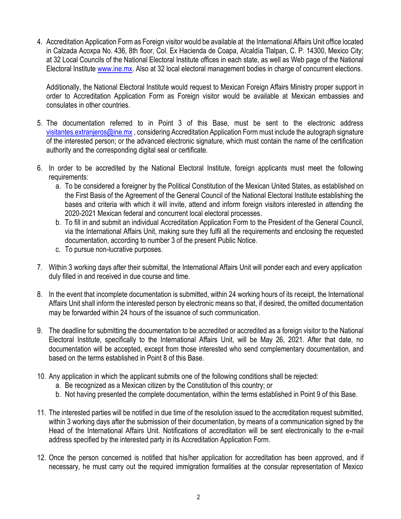4. Accreditation Application Form as Foreign visitor would be available at the International Affairs Unit office located in Calzada Acoxpa No. 436, 8th floor, Col. Ex Hacienda de Coapa, Alcaldía Tlalpan, C. P. 14300, Mexico City; at 32 Local Councils of the National Electoral Institute offices in each state, as well as Web page of the National Electoral Institute [www.ine.mx.](http://www.ine.mx/) Also at 32 local electoral management bodies in charge of concurrent elections.

Additionally, the National Electoral Institute would request to Mexican Foreign Affairs Ministry proper support in order to Accreditation Application Form as Foreign visitor would be available at Mexican embassies and consulates in other countries.

- 5. The documentation referred to in Point 3 of this Base, must be sent to the electronic address [visitantes.extranjeros@ine.mx](mailto:visitantes.extranjeros@ine.mx) , considering Accreditation Application Form must include the autograph signature of the interested person; or the advanced electronic signature, which must contain the name of the certification authority and the corresponding digital seal or certificate.
- 6. In order to be accredited by the National Electoral Institute, foreign applicants must meet the following requirements:
	- a. To be considered a foreigner by the Political Constitution of the Mexican United States, as established on the First Basis of the Agreement of the General Council of the National Electoral Institute establishing the bases and criteria with which it will invite, attend and inform foreign visitors interested in attending the 2020-2021 Mexican federal and concurrent local electoral processes.
	- b. To fill in and submit an individual Accreditation Application Form to the President of the General Council, via the International Affairs Unit, making sure they fulfil all the requirements and enclosing the requested documentation, according to number 3 of the present Public Notice.
	- c. To pursue non-lucrative purposes.
- 7. Within 3 working days after their submittal, the International Affairs Unit will ponder each and every application duly filled in and received in due course and time.
- 8. In the event that incomplete documentation is submitted, within 24 working hours of its receipt, the International Affairs Unit shall inform the interested person by electronic means so that, if desired, the omitted documentation may be forwarded within 24 hours of the issuance of such communication.
- 9. The deadline for submitting the documentation to be accredited or accredited as a foreign visitor to the National Electoral Institute, specifically to the International Affairs Unit, will be May 26, 2021. After that date, no documentation will be accepted, except from those interested who send complementary documentation, and based on the terms established in Point 8 of this Base.
- 10. Any application in which the applicant submits one of the following conditions shall be rejected:
	- a. Be recognized as a Mexican citizen by the Constitution of this country; or
	- b. Not having presented the complete documentation, within the terms established in Point 9 of this Base.
- 11. The interested parties will be notified in due time of the resolution issued to the accreditation request submitted, within 3 working days after the submission of their documentation, by means of a communication signed by the Head of the International Affairs Unit. Notifications of accreditation will be sent electronically to the e-mail address specified by the interested party in its Accreditation Application Form.
- 12. Once the person concerned is notified that his/her application for accreditation has been approved, and if necessary, he must carry out the required immigration formalities at the consular representation of Mexico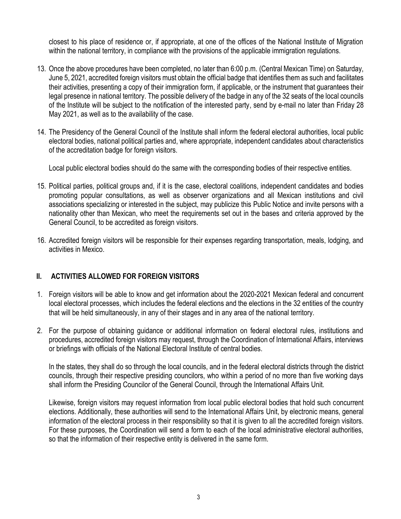closest to his place of residence or, if appropriate, at one of the offices of the National Institute of Migration within the national territory, in compliance with the provisions of the applicable immigration regulations.

- 13. Once the above procedures have been completed, no later than 6:00 p.m. (Central Mexican Time) on Saturday, June 5, 2021, accredited foreign visitors must obtain the official badge that identifies them as such and facilitates their activities, presenting a copy of their immigration form, if applicable, or the instrument that guarantees their legal presence in national territory. The possible delivery of the badge in any of the 32 seats of the local councils of the Institute will be subject to the notification of the interested party, send by e-mail no later than Friday 28 May 2021, as well as to the availability of the case.
- 14. The Presidency of the General Council of the Institute shall inform the federal electoral authorities, local public electoral bodies, national political parties and, where appropriate, independent candidates about characteristics of the accreditation badge for foreign visitors.

Local public electoral bodies should do the same with the corresponding bodies of their respective entities.

- 15. Political parties, political groups and, if it is the case, electoral coalitions, independent candidates and bodies promoting popular consultations, as well as observer organizations and all Mexican institutions and civil associations specializing or interested in the subject, may publicize this Public Notice and invite persons with a nationality other than Mexican, who meet the requirements set out in the bases and criteria approved by the General Council, to be accredited as foreign visitors.
- 16. Accredited foreign visitors will be responsible for their expenses regarding transportation, meals, lodging, and activities in Mexico.

# **II. ACTIVITIES ALLOWED FOR FOREIGN VISITORS**

- 1. Foreign visitors will be able to know and get information about the 2020-2021 Mexican federal and concurrent local electoral processes, which includes the federal elections and the elections in the 32 entities of the country that will be held simultaneously, in any of their stages and in any area of the national territory.
- 2. For the purpose of obtaining guidance or additional information on federal electoral rules, institutions and procedures, accredited foreign visitors may request, through the Coordination of International Affairs, interviews or briefings with officials of the National Electoral Institute of central bodies.

In the states, they shall do so through the local councils, and in the federal electoral districts through the district councils, through their respective presiding councilors, who within a period of no more than five working days shall inform the Presiding Councilor of the General Council, through the International Affairs Unit.

Likewise, foreign visitors may request information from local public electoral bodies that hold such concurrent elections. Additionally, these authorities will send to the International Affairs Unit, by electronic means, general information of the electoral process in their responsibility so that it is given to all the accredited foreign visitors. For these purposes, the Coordination will send a form to each of the local administrative electoral authorities, so that the information of their respective entity is delivered in the same form.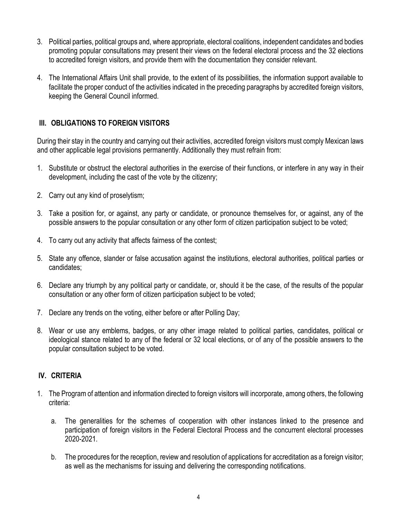- 3. Political parties, political groups and, where appropriate, electoral coalitions, independent candidates and bodies promoting popular consultations may present their views on the federal electoral process and the 32 elections to accredited foreign visitors, and provide them with the documentation they consider relevant.
- 4. The International Affairs Unit shall provide, to the extent of its possibilities, the information support available to facilitate the proper conduct of the activities indicated in the preceding paragraphs by accredited foreign visitors, keeping the General Council informed.

## **III. OBLIGATIONS TO FOREIGN VISITORS**

During their stay in the country and carrying out their activities, accredited foreign visitors must comply Mexican laws and other applicable legal provisions permanently. Additionally they must refrain from:

- 1. Substitute or obstruct the electoral authorities in the exercise of their functions, or interfere in any way in their development, including the cast of the vote by the citizenry;
- 2. Carry out any kind of proselytism;
- 3. Take a position for, or against, any party or candidate, or pronounce themselves for, or against, any of the possible answers to the popular consultation or any other form of citizen participation subject to be voted;
- 4. To carry out any activity that affects fairness of the contest;
- 5. State any offence, slander or false accusation against the institutions, electoral authorities, political parties or candidates;
- 6. Declare any triumph by any political party or candidate, or, should it be the case, of the results of the popular consultation or any other form of citizen participation subject to be voted;
- 7. Declare any trends on the voting, either before or after Polling Day;
- 8. Wear or use any emblems, badges, or any other image related to political parties, candidates, political or ideological stance related to any of the federal or 32 local elections, or of any of the possible answers to the popular consultation subject to be voted.

### **IV. CRITERIA**

- 1. The Program of attention and information directed to foreign visitors will incorporate, among others, the following criteria:
	- a. The generalities for the schemes of cooperation with other instances linked to the presence and participation of foreign visitors in the Federal Electoral Process and the concurrent electoral processes 2020-2021.
	- b. The procedures for the reception, review and resolution of applications for accreditation as a foreign visitor; as well as the mechanisms for issuing and delivering the corresponding notifications.